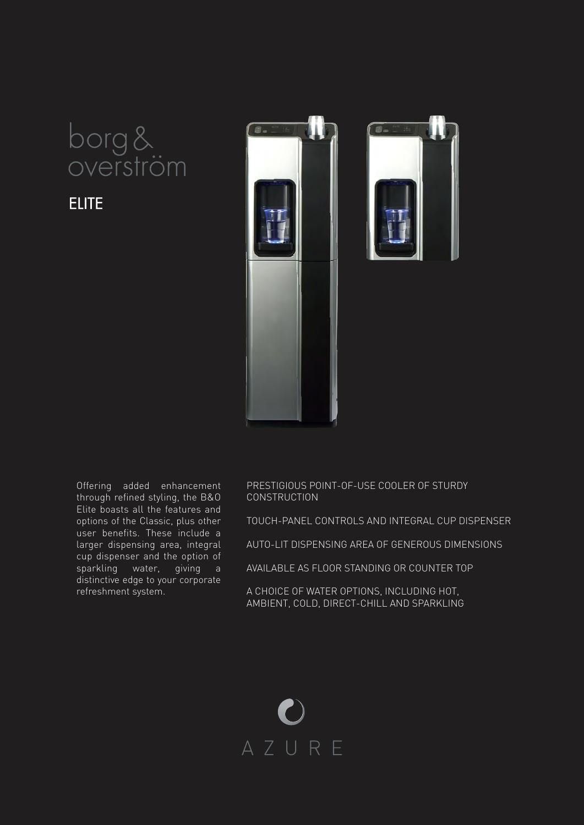

**ELITE** 



Offering added enhancement through refined styling, the B&O Elite boasts all the features and options of the Classic, plus other user benefits. These include a larger dispensing area, integral cup dispenser and the option of sparkling water, giving a distinctive edge to your corporate refreshment system.

PRESTIGIOUS POINT-OF-USE COOLER OF STURDY CONSTRUCTION

TOUCH-PANEL CONTROLS AND INTEGRAL CUP DISPENSER

AUTO-LIT DISPENSING AREA OF GENEROUS DIMENSIONS

AVAILABLE AS FLOOR STANDING OR COUNTER TOP

A CHOICE OF WATER OPTIONS, INCLUDING HOT, AMBIENT, COLD, DIRECT-CHILL AND SPARKLING